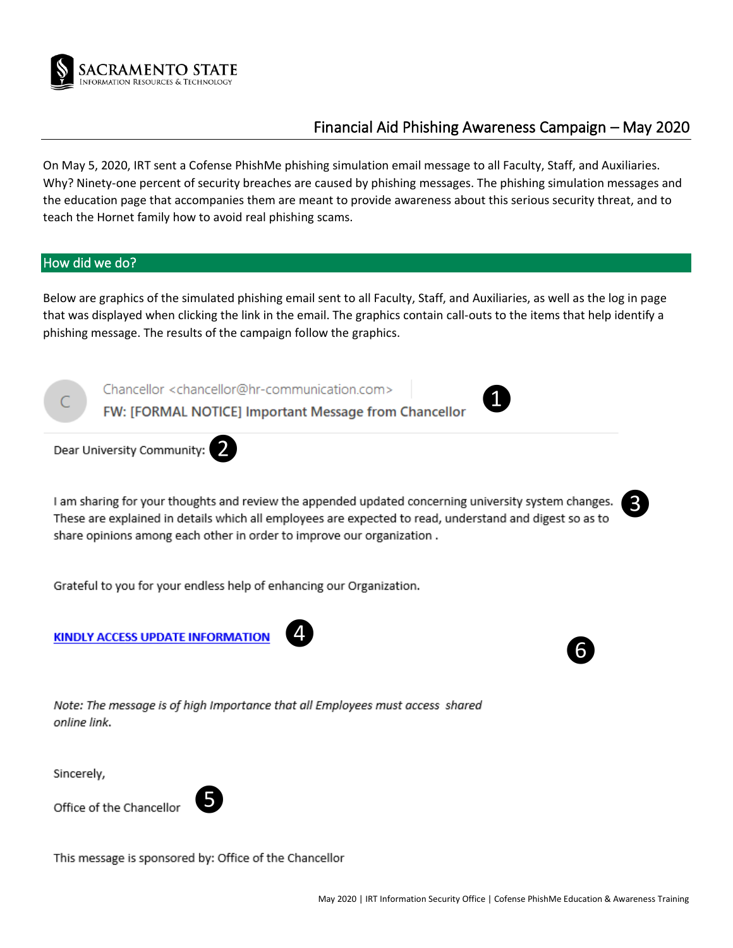

# Financial Aid Phishing Awareness Campaign – May 2020

On May 5, 2020, IRT sent a Cofense PhishMe phishing simulation email message to all Faculty, Staff, and Auxiliaries. Why? Ninety-one percent of security breaches are caused by phishing messages. The phishing simulation messages and the education page that accompanies them are meant to provide awareness about this serious security threat, and to teach the Hornet family how to avoid real phishing scams.

## How did we do?

Below are graphics of the simulated phishing email sent to all Faculty, Staff, and Auxiliaries, as well as the log in page that was displayed when clicking the link in the email. The graphics contain call-outs to the items that help identify a phishing message. The results of the campaign follow the graphics.

Chancellor <chancellor@hr-communication.com>

FW: [FORMAL NOTICE] Important Message from Chancellor



❷

I am sharing for your thoughts and review the appended updated concerning university system changes. These are explained in details which all employees are expected to read, understand and digest so as to share opinions among each other in order to improve our organization.

Grateful to you for your endless help of enhancing our Organization.

**KINDLY ACCESS UPDATE INFORMATION** 





❸

Note: The message is of high Importance that all Employees must access shared online link.

Sincerely,

Office of the Chancellor



This message is sponsored by: Office of the Chancellor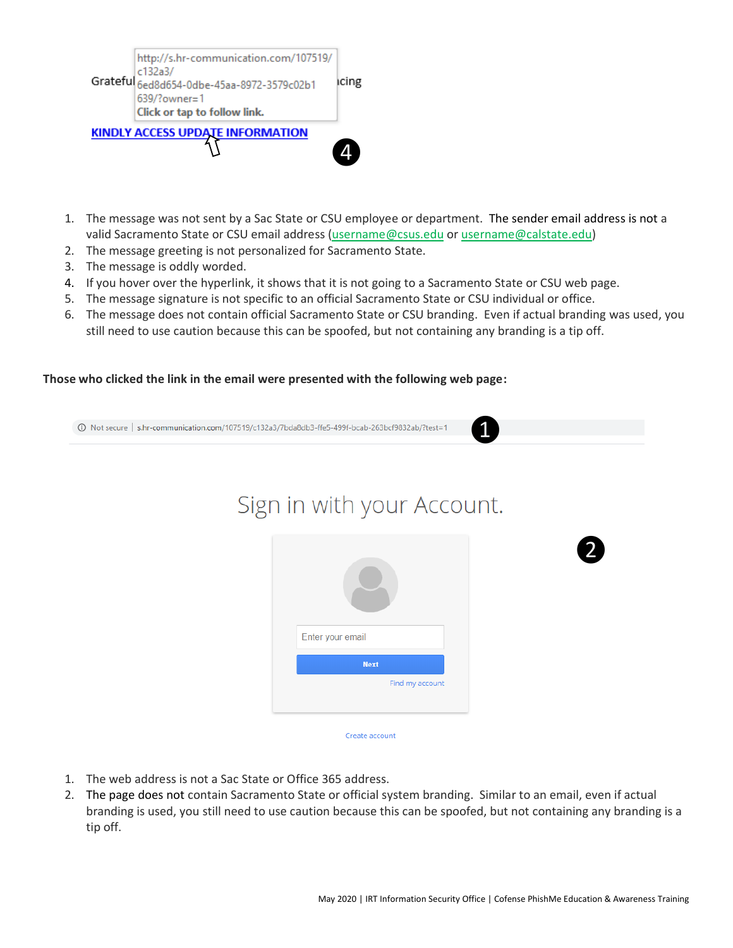

- 1. The message was not sent by a Sac State or CSU employee or department. The sender email address is not a valid Sacramento State or CSU email address [\(username@csus.edu](mailto:username@csus.edu) or username@calstate.edu)
- 2. The message greeting is not personalized for Sacramento State.
- 3. The message is oddly worded.
- 4. If you hover over the hyperlink, it shows that it is not going to a Sacramento State or CSU web page.
- 5. The message signature is not specific to an official Sacramento State or CSU individual or office.
- 6. The message does not contain official Sacramento State or CSU branding. Even if actual branding was used, you still need to use caution because this can be spoofed, but not containing any branding is a tip off.

### **Those who clicked the link in the email were presented with the following web page:**

1=18/D Not secure | s.hr-communication.com/107519/c132a3/7bda8db3-ffe5-499f-bcab-263bcf9832ab/?test

# Sign in with your Account.



- 1. The web address is not a Sac State or Office 365 address.
- 2. The page does not contain Sacramento State or official system branding. Similar to an email, even if actual branding is used, you still need to use caution because this can be spoofed, but not containing any branding is a tip off.

❶

❷